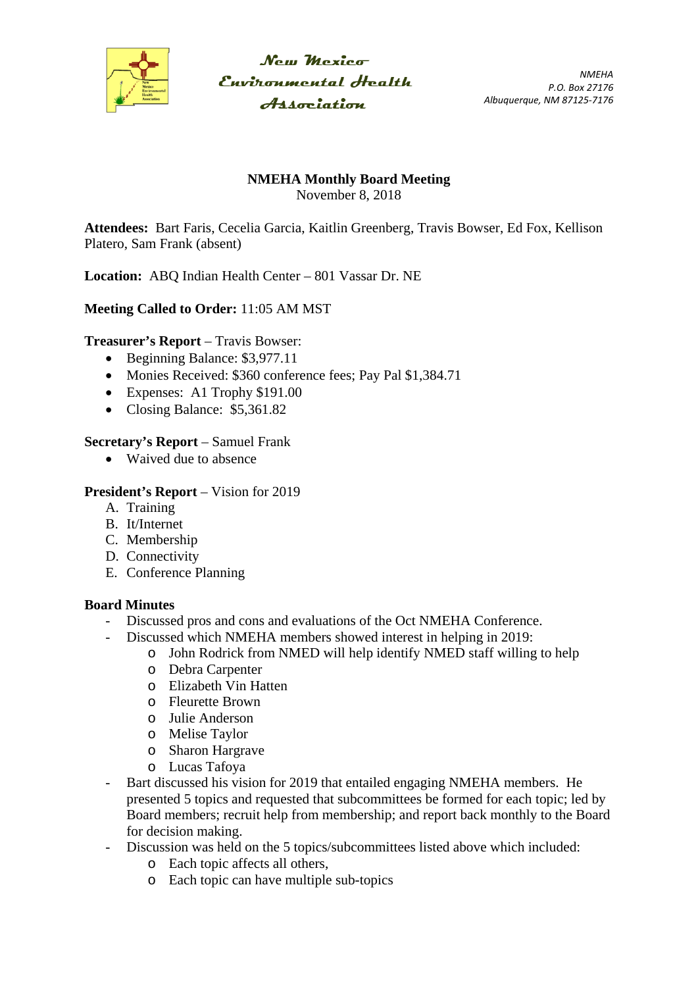

 $N_{CUT}$  Mexica Environmental Health **Association** 

*NMEHA P.O. Box 27176 Albuquerque, NM 87125-7176*

## **NMEHA Monthly Board Meeting**

November 8, 2018

**Attendees:** Bart Faris, Cecelia Garcia, Kaitlin Greenberg, Travis Bowser, Ed Fox, Kellison Platero, Sam Frank (absent)

**Location:** ABQ Indian Health Center – 801 Vassar Dr. NE

# **Meeting Called to Order:** 11:05 AM MST

### **Treasurer's Report** – Travis Bowser:

- Beginning Balance: \$3,977.11
- Monies Received: \$360 conference fees; Pay Pal \$1,384.71
- Expenses: A1 Trophy \$191.00
- Closing Balance: \$5,361.82

### **Secretary's Report** – Samuel Frank

• Waived due to absence

#### **President's Report** – Vision for 2019

- A. Training
- B. It/Internet
- C. Membership
- D. Connectivity
- E. Conference Planning

### **Board Minutes**

- Discussed pros and cons and evaluations of the Oct NMEHA Conference.
	- Discussed which NMEHA members showed interest in helping in 2019:
		- o John Rodrick from NMED will help identify NMED staff willing to help
		- o Debra Carpenter
		- o Elizabeth Vin Hatten
		- o Fleurette Brown
		- o Julie Anderson
		- o Melise Taylor
		- o Sharon Hargrave
		- o Lucas Tafoya
- Bart discussed his vision for 2019 that entailed engaging NMEHA members. He presented 5 topics and requested that subcommittees be formed for each topic; led by Board members; recruit help from membership; and report back monthly to the Board for decision making.
- Discussion was held on the 5 topics/subcommittees listed above which included:
	- o Each topic affects all others,
	- o Each topic can have multiple sub-topics